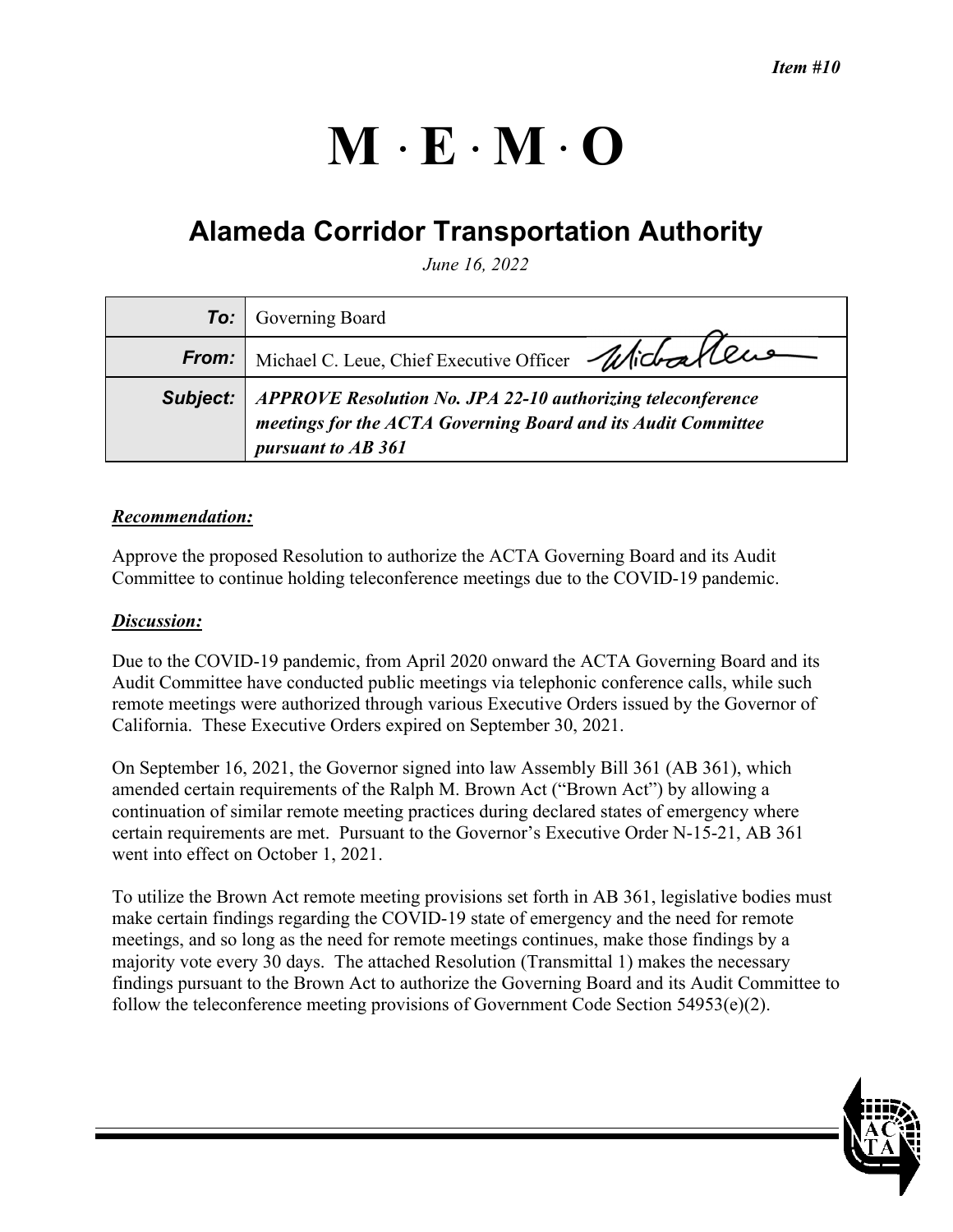# $M \cdot E \cdot M \cdot O$

# **Alameda Corridor Transportation Authority**

*June 16, 2022* 

|              | <b>To:</b> Governing Board                                                                                                                         |
|--------------|----------------------------------------------------------------------------------------------------------------------------------------------------|
| <b>From:</b> | Michael C. Leue, Chief Executive Officer Michael CLUS                                                                                              |
| Subject:     | APPROVE Resolution No. JPA 22-10 authorizing teleconference<br>meetings for the ACTA Governing Board and its Audit Committee<br>pursuant to AB 361 |

### *Recommendation:*

Approve the proposed Resolution to authorize the ACTA Governing Board and its Audit Committee to continue holding teleconference meetings due to the COVID-19 pandemic.

#### *Discussion:*

Due to the COVID-19 pandemic, from April 2020 onward the ACTA Governing Board and its Audit Committee have conducted public meetings via telephonic conference calls, while such remote meetings were authorized through various Executive Orders issued by the Governor of California. These Executive Orders expired on September 30, 2021.

On September 16, 2021, the Governor signed into law Assembly Bill 361 (AB 361), which amended certain requirements of the Ralph M. Brown Act ("Brown Act") by allowing a continuation of similar remote meeting practices during declared states of emergency where certain requirements are met. Pursuant to the Governor's Executive Order N-15-21, AB 361 went into effect on October 1, 2021.

To utilize the Brown Act remote meeting provisions set forth in AB 361, legislative bodies must make certain findings regarding the COVID-19 state of emergency and the need for remote meetings, and so long as the need for remote meetings continues, make those findings by a majority vote every 30 days. The attached Resolution (Transmittal 1) makes the necessary findings pursuant to the Brown Act to authorize the Governing Board and its Audit Committee to follow the teleconference meeting provisions of Government Code Section 54953(e)(2).